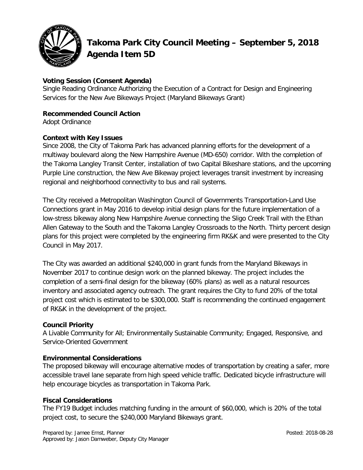

# **Takoma Park City Council Meeting – September 5, 2018 Agenda Item 5D**

# **Voting Session (Consent Agenda)**

Single Reading Ordinance Authorizing the Execution of a Contract for Design and Engineering Services for the New Ave Bikeways Project (Maryland Bikeways Grant)

# **Recommended Council Action**

Adopt Ordinance

#### **Context with Key Issues**

Since 2008, the City of Takoma Park has advanced planning efforts for the development of a multiway boulevard along the New Hampshire Avenue (MD-650) corridor. With the completion of the Takoma Langley Transit Center, installation of two Capital Bikeshare stations, and the upcoming Purple Line construction, the New Ave Bikeway project leverages transit investment by increasing regional and neighborhood connectivity to bus and rail systems.

The City received a Metropolitan Washington Council of Governments Transportation-Land Use Connections grant in May 2016 to develop initial design plans for the future implementation of a low-stress bikeway along New Hampshire Avenue connecting the Sligo Creek Trail with the Ethan Allen Gateway to the South and the Takoma Langley Crossroads to the North. Thirty percent design plans for this project were completed by the engineering firm RK&K and were presented to the City Council in May 2017.

The City was awarded an additional \$240,000 in grant funds from the Maryland Bikeways in November 2017 to continue design work on the planned bikeway. The project includes the completion of a semi-final design for the bikeway (60% plans) as well as a natural resources inventory and associated agency outreach. The grant requires the City to fund 20% of the total project cost which is estimated to be \$300,000. Staff is recommending the continued engagement of RK&K in the development of the project.

## **Council Priority**

A Livable Community for All; Environmentally Sustainable Community; Engaged, Responsive, and Service-Oriented Government

## **Environmental Considerations**

The proposed bikeway will encourage alternative modes of transportation by creating a safer, more accessible travel lane separate from high speed vehicle traffic. Dedicated bicycle infrastructure will help encourage bicycles as transportation in Takoma Park.

## **Fiscal Considerations**

The FY19 Budget includes matching funding in the amount of \$60,000, which is 20% of the total project cost, to secure the \$240,000 Maryland Bikeways grant.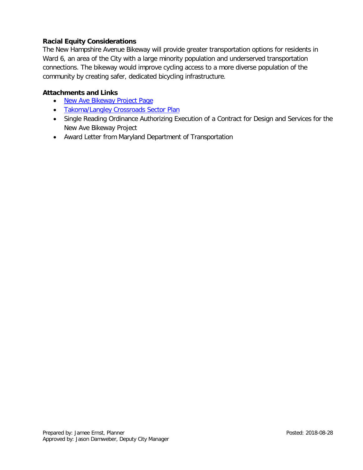#### **Racial Equity Considerations**

The New Hampshire Avenue Bikeway will provide greater transportation options for residents in Ward 6, an area of the City with a large minority population and underserved transportation connections. The bikeway would improve cycling access to a more diverse population of the community by creating safer, dedicated bicycling infrastructure.

#### **Attachments and Links**

- [New Ave Bikeway](https://takomaparkmd.gov/initiatives/project-directory/new-ave-bikeway/) Project Page
- [Takoma/Langley Crossroads Sector Plan](http://www.montgomeryplanning.org/community/takoma_langley_crossroads/documents/takoma_langley_crossroads_sector_plan_adopted_approved_web.pdf)
- Single Reading Ordinance Authorizing Execution of a Contract for Design and Services for the New Ave Bikeway Project
- Award Letter from Maryland Department of Transportation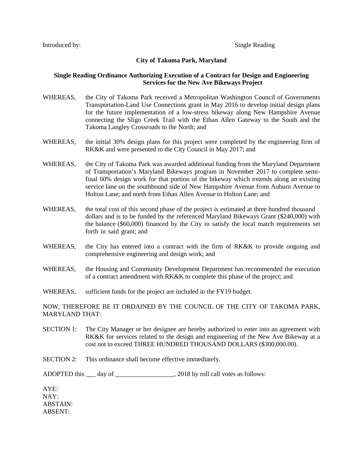#### **City of Takoma Park, Maryland**

#### **Single Reading Ordinance Authorizing Execution of a Contract for Design and Engineering Services for the New Ave Bikeways Project**

- WHEREAS, the City of Takoma Park received a Metropolitan Washington Council of Governments Transportation-Land Use Connections grant in May 2016 to develop initial design plans for the future implementation of a low-stress bikeway along New Hampshire Avenue connecting the Sligo Creek Trail with the Ethan Allen Gateway to the South and the Takoma Langley Crossroads to the North; and
- WHEREAS, the initial 30% design plans for this project were completed by the engineering firm of RK&K and were presented to the City Council in May 2017; and
- WHEREAS, the City of Takoma Park was awarded additional funding from the Maryland Department of Transportation's Maryland Bikeways program in November 2017 to complete semifinal 60% design work for that portion of the bikeway which extends along an existing service lane on the southbound side of New Hampshire Avenue from Auburn Avenue to Holton Lane; and north from Ethan Allen Avenue to Holton Lane; and
- WHEREAS, the total cost of this second phase of the project is estimated at three hundred thousand dollars and is to be funded by the referenced Maryland Bikeways Grant (\$240,000) with the balance (\$60,000) financed by the City to satisfy the local match requirements set forth in said grant; and
- WHEREAS, the City has entered into a contract with the firm of RK&K to provide ongoing and comprehensive engineering and design work; and
- WHEREAS, the Housing and Community Development Department has recommended the execution of a contract amendment with RK&K to complete this phase of the project; and
- WHEREAS, sufficient funds for the project are included in the FY19 budget.

NOW, THEREFORE BE IT ORDAINED BY THE COUNCIL OF THE CITY OF TAKOMA PARK, MARYLAND THAT:

- SECTION 1: The City Manager or her designee are hereby authorized to enter into an agreement with RK&K for services related to the design and engineering of the New Ave Bikeway at a cost not to exceed THREE HUNDRED THOUSAND DOLLARS (\$300,000.00).
- SECTION 2: This ordinance shall become effective immediately.

ADOPTED this day of \_\_\_\_\_\_\_\_\_\_\_\_\_\_\_\_\_\_\_, 2018 by roll call votes as follows:

AYE: NAY: ABSTAIN: ABSENT: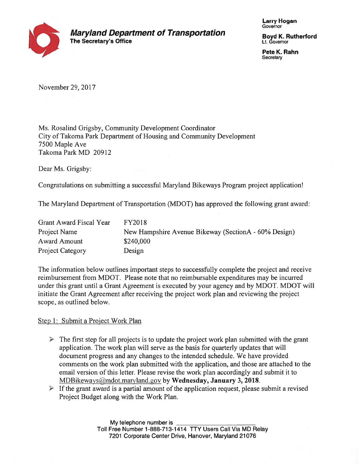

**Larry Hogan** Governor

**Boyd K. Rutherford** Lt. Governor

Pete K. Rahn Secretary

November 29, 2017

Ms. Rosalind Grigsby, Community Development Coordinator City of Takoma Park Department of Housing and Community Development 7500 Maple Ave Takoma Park MD 20912

Dear Ms. Grigsby:

Congratulations on submitting a successful Maryland Bikeways Program project application!

The Maryland Department of Transportation (MDOT) has approved the following grant award:

| Grant Award Fiscal Year | <b>FY2018</b>                                        |
|-------------------------|------------------------------------------------------|
| Project Name            | New Hampshire Avenue Bikeway (SectionA - 60% Design) |
| Award Amount            | \$240,000                                            |
| <b>Project Category</b> | Design                                               |

The information below outlines important steps to successfully complete the project and receive reimbursement from MDOT. Please note that no reimbursable expenditures may be incurred under this grant until a Grant Agreement is executed by your agency and by MDOT. MDOT will initiate the Grant Agreement after receiving the project work plan and reviewing the project scope, as outlined below.

Step 1: Submit a Project Work Plan

- $\triangleright$  The first step for all projects is to update the project work plan submitted with the grant application. The work plan will serve as the basis for quarterly updates that will document progress and any changes to the intended schedule. We have provided comments on the work plan submitted with the application, and those are attached to the email version of this letter. Please revise the work plan accordingly and submit it to MDBikeways@mdot.maryland.gov by Wednesday, January 3, 2018.
- $\triangleright$  If the grant award is a partial amount of the application request, please submit a revised Project Budget along with the Work Plan.

My telephone number is Toll Free Number 1-888-713-1414 TTY Users Call Via MD Relay 7201 Corporate Center Drive, Hanover, Maryland 21076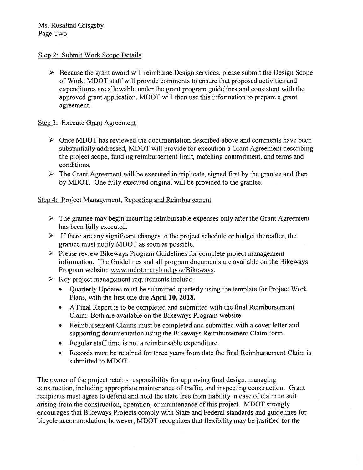## Step 2: Submit Work Scope Details

 $\triangleright$  Because the grant award will reimburse Design services, please submit the Design Scope of Work. MDOT staff will provide comments to ensure that proposed activities and expenditures are allowable under the grant program guidelines and consistent with the approved grant application. MDOT will then use this information to prepare a grant agreement.

## Step 3: Execute Grant Agreement

- $\triangleright$  Once MDOT has reviewed the documentation described above and comments have been substantially addressed, MDOT will provide for execution a Grant Agreement describing the project scope, funding reimbursement limit, matching commitment, and terms and conditions.
- $\triangleright$  The Grant Agreement will be executed in triplicate, signed first by the grantee and then by MDOT. One fully executed original will be provided to the grantee.

## Step 4: Project Management, Reporting and Reimbursement

- $\triangleright$  The grantee may begin incurring reimbursable expenses only after the Grant Agreement has been fully executed.
- $\triangleright$  If there are any significant changes to the project schedule or budget thereafter, the grantee must notify MDOT as soon as possible.
- $\triangleright$  Please review Bikeways Program Guidelines for complete project management information. The Guidelines and all program documents are available on the Bikeways Program website: www.mdot.maryland.gov/Bikeways.
- $\triangleright$  Key project management requirements include:
	- Quarterly Updates must be submitted quarterly using the template for Project Work Plans, with the first one due April 10, 2018.
	- A Final Report is to be completed and submitted with the final Reimbursement Claim. Both are available on the Bikeways Program website.
	- Reimbursement Claims must be completed and submitted with a cover letter and  $\bullet$ supporting documentation using the Bikeways Reimbursement Claim form.
	- Regular staff time is not a reimbursable expenditure.  $\bullet$
	- Records must be retained for three years from date the final Reimbursement Claim is  $\bullet$ submitted to MDOT.

The owner of the project retains responsibility for approving final design, managing construction, including appropriate maintenance of traffic, and inspecting construction. Grant recipients must agree to defend and hold the state free from liability in case of claim or suit arising from the construction, operation, or maintenance of this project. MDOT strongly encourages that Bikeways Projects comply with State and Federal standards and guidelines for bicycle accommodation; however, MDOT recognizes that flexibility may be justified for the